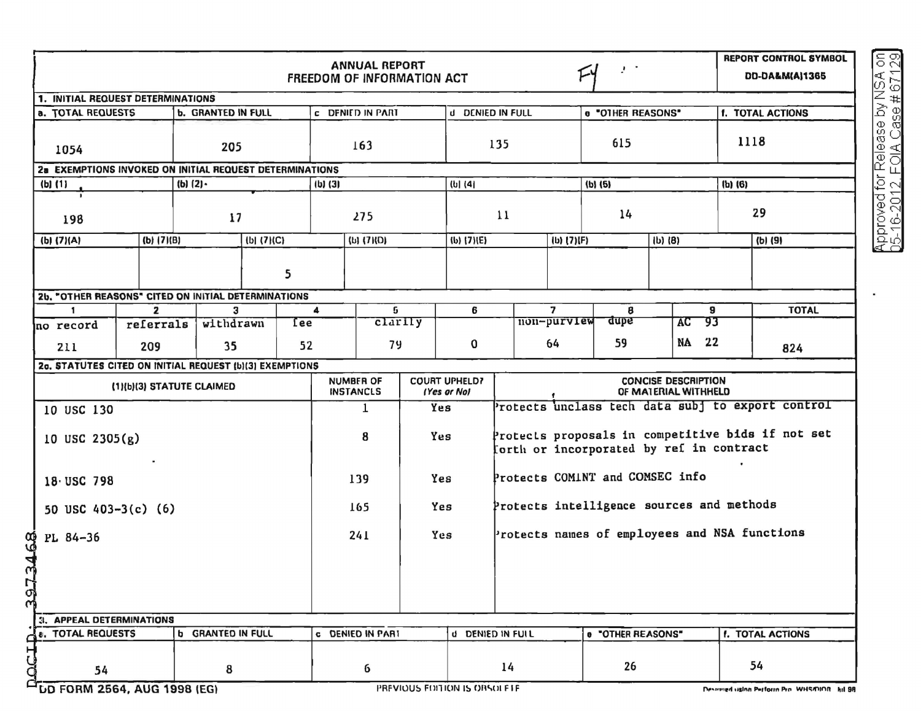| <b>ANNUAL REPORT</b><br>$\mathcal{F}^{\mathcal{F}}$<br><b>FREEDOM OF INFORMATION ACT</b> |                                                                             |          |                   |     |                                                                             |             |     |                                                                                                         |                                            | <b>REPORT CONTROL SYMBOL</b><br><b>DD-DA&amp;M(A)1365</b> |                                               |                                                                                              |             |              |                         |  |
|------------------------------------------------------------------------------------------|-----------------------------------------------------------------------------|----------|-------------------|-----|-----------------------------------------------------------------------------|-------------|-----|---------------------------------------------------------------------------------------------------------|--------------------------------------------|-----------------------------------------------------------|-----------------------------------------------|----------------------------------------------------------------------------------------------|-------------|--------------|-------------------------|--|
| 1. INITIAL REQUEST DETERMINATIONS                                                        |                                                                             |          |                   |     |                                                                             |             |     |                                                                                                         |                                            |                                                           |                                               |                                                                                              |             |              |                         |  |
| <b>a. TOTAL REQUESTS</b><br><b>b. GRANTED IN FULL</b>                                    |                                                                             |          |                   |     | <b>c</b> DENIED IN PART                                                     |             |     | d DENIED IN FULL                                                                                        |                                            |                                                           | 0 "OTHER REASONS"                             |                                                                                              |             |              | <b>f. TOTAL ACTIONS</b> |  |
| 205<br>1054                                                                              |                                                                             |          |                   | 163 |                                                                             |             | 135 |                                                                                                         |                                            |                                                           | 615                                           |                                                                                              |             |              | 1118                    |  |
| 2a EXEMPTIONS INVOKED ON INITIAL REQUEST DETERMINATIONS                                  |                                                                             |          |                   |     |                                                                             |             |     |                                                                                                         |                                            |                                                           |                                               |                                                                                              |             |              |                         |  |
| $(b)$ $(1)$<br>(b) $(2)$                                                                 |                                                                             |          | $(b)$ $(3)$       |     |                                                                             | $(b)$ $(4)$ |     |                                                                                                         |                                            | $(b)$ $(5)$                                               |                                               |                                                                                              | $(b)$ $(6)$ |              |                         |  |
| 17<br>198                                                                                |                                                                             |          | 275               |     |                                                                             | 11          |     |                                                                                                         |                                            | 14                                                        |                                               |                                                                                              |             | 29           |                         |  |
| $(b)$ $(7)(A)$                                                                           | (b) (7)(B)                                                                  |          | (b) (7)(C)        |     | $(b)$ $(7)(D)$                                                              |             |     | (b) (7)(E)<br>$(b)$ (7)(F)                                                                              |                                            |                                                           |                                               | $ b)$ $(8)$                                                                                  |             | (b) (9)      |                         |  |
| 5                                                                                        |                                                                             |          |                   |     |                                                                             |             |     |                                                                                                         |                                            |                                                           |                                               |                                                                                              |             |              |                         |  |
| 2b. "OTHER REASONS" CITED ON INITIAL DETERMINATIONS                                      |                                                                             |          |                   |     |                                                                             |             |     |                                                                                                         |                                            |                                                           |                                               |                                                                                              |             |              |                         |  |
| <b>no record</b>                                                                         | $\overline{2}$<br>3<br>$\mathbf{1}$<br>withdrawn<br><b>Tee</b><br>referrals |          | 5<br>4<br>clarily |     |                                                                             | 6           |     |                                                                                                         | $\overline{ }$<br>8<br>non-purview<br>dupe |                                                           |                                               | 9<br>93<br>AC                                                                                |             | <b>TOTAL</b> |                         |  |
| 211                                                                                      | 209                                                                         | 52<br>35 |                   | 79  |                                                                             |             | 0   |                                                                                                         |                                            | 59<br>64                                                  |                                               | 22<br>NA                                                                                     |             |              | 824                     |  |
| 20. STATUTES CITED ON INITIAL REQUEST (b)(3) EXEMPTIONS                                  |                                                                             |          |                   |     |                                                                             |             |     |                                                                                                         |                                            |                                                           |                                               |                                                                                              |             |              |                         |  |
| (1)(b)(3) STATUTE CLAIMED                                                                |                                                                             |          |                   |     | <b>COURT UPHELD?</b><br><b>NUMBER OF</b><br><b>INSTANCLS</b><br>(Yes or Nol |             |     | <b>CONCISE DESCRIPTION</b><br>OF MATERIAL WITHHELD<br>Protects unclass tech data subj to export control |                                            |                                                           |                                               |                                                                                              |             |              |                         |  |
| 10 USC 130                                                                               |                                                                             |          |                   |     | $\mathbf{1}$<br>Yes                                                         |             |     |                                                                                                         |                                            |                                                           |                                               |                                                                                              |             |              |                         |  |
| 10 USC $2305(g)$                                                                         |                                                                             |          |                   |     | 8<br>Yes                                                                    |             |     |                                                                                                         |                                            |                                                           |                                               | Protects proposals in competitive bids if not set<br>orth or incorporated by ref in contract |             |              |                         |  |
| 18 USC 798                                                                               |                                                                             |          |                   |     | 139<br>Yes                                                                  |             |     | Protects COMINT and COMSEC info                                                                         |                                            |                                                           |                                               |                                                                                              |             |              |                         |  |
| 50 USC $403-3(c)$ (6)                                                                    |                                                                             |          |                   |     | 165<br>Yes                                                                  |             |     |                                                                                                         |                                            |                                                           | Protects intelligence sources and methods     |                                                                                              |             |              |                         |  |
| PL 84-36                                                                                 |                                                                             |          |                   |     | 241                                                                         |             | Yes |                                                                                                         |                                            |                                                           | Protects names of employees and NSA functions |                                                                                              |             |              |                         |  |
| <b>B9TELEE</b>                                                                           |                                                                             |          |                   |     |                                                                             |             |     |                                                                                                         |                                            |                                                           |                                               |                                                                                              |             |              |                         |  |
| 3. APPEAL DETERMINATIONS                                                                 |                                                                             |          |                   |     |                                                                             |             |     |                                                                                                         |                                            |                                                           |                                               |                                                                                              |             |              |                         |  |
| <b>b</b> GRANTED IN FULL<br>81. TOTAL REQUESTS                                           |                                                                             |          |                   |     | <b>c</b> DENIED IN PART                                                     |             |     | d DENIED IN FULL                                                                                        |                                            |                                                           | e "OTHER REASONS"                             |                                                                                              |             |              | f. TOTAL ACTIONS        |  |
| <b>CLLOO</b><br>8<br>54                                                                  |                                                                             |          |                   |     | 6                                                                           |             |     | 14                                                                                                      |                                            |                                                           | 26                                            |                                                                                              |             |              | 54                      |  |

LD FORM 2564, AUG 1998 (EG)

Approved for Release by NSA on<br>05-16-2012, FOIA Case # 67129

×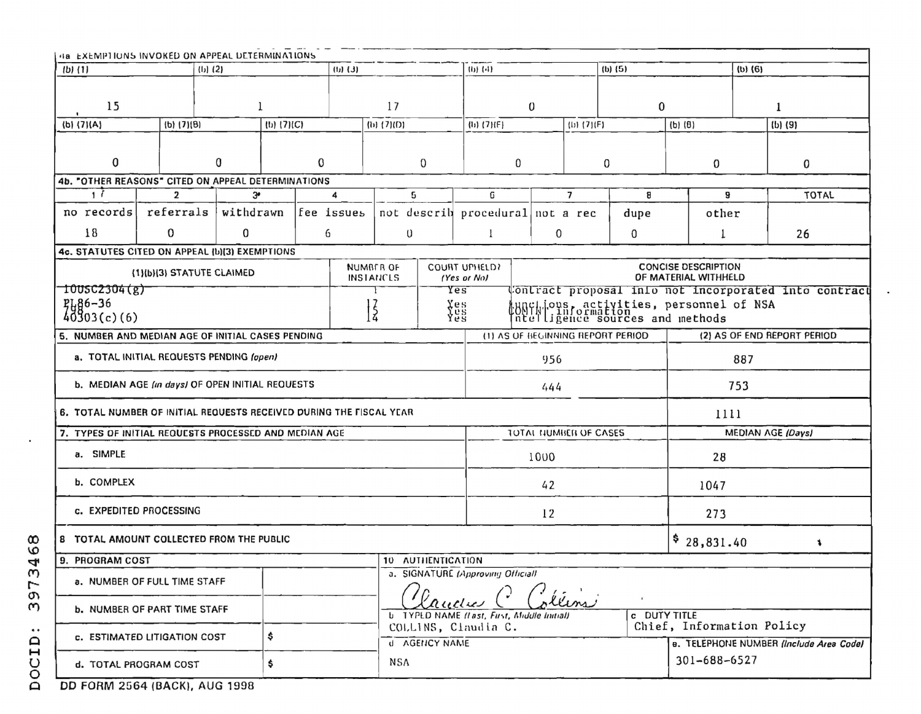| 48 EXEMPTIONS INVOKED ON APPEAL DETERMINATIONS                            |                                       |                |                |            |   |                                             |                          |                  |                                                                                                 |                                                   |                |                                                                      |                                                       |                   |                             |              |              |  |
|---------------------------------------------------------------------------|---------------------------------------|----------------|----------------|------------|---|---------------------------------------------|--------------------------|------------------|-------------------------------------------------------------------------------------------------|---------------------------------------------------|----------------|----------------------------------------------------------------------|-------------------------------------------------------|-------------------|-----------------------------|--------------|--------------|--|
| $(b)$ $(1)$<br>$(b)$ (2)<br>$(L)$ $(L)$                                   |                                       |                |                |            |   |                                             | $(1)$ $(4)$              |                  |                                                                                                 |                                                   | $(b)$ $(5)$    |                                                                      | $(b)$ $(6)$                                           |                   |                             |              |              |  |
|                                                                           |                                       |                |                |            |   |                                             |                          |                  |                                                                                                 |                                                   |                |                                                                      |                                                       |                   |                             |              |              |  |
| 15<br>$\mathbf{l}$                                                        |                                       |                |                | 17         |   |                                             |                          | $\boldsymbol{0}$ |                                                                                                 |                                                   |                | $\bf{0}$                                                             |                                                       |                   |                             | $\mathbf{1}$ |              |  |
| (b) (7)(A)<br>$(b)$ $(7)(B)$                                              |                                       |                | $(b)$ $(7)(C)$ | (b) (7)(D) |   |                                             | $\{11\}$ $\{7\}$ $\{F\}$ |                  |                                                                                                 | (D) (7)(F)                                        |                |                                                                      | $(b)$ $(8)$                                           |                   | $(b)$ $(9)$                 |              |              |  |
|                                                                           |                                       |                |                |            |   |                                             |                          |                  |                                                                                                 |                                                   |                |                                                                      |                                                       |                   |                             |              |              |  |
| 0<br>0                                                                    |                                       | $\Omega$       |                | 0          |   | 0                                           |                          |                  | 0                                                                                               |                                                   | 0              |                                                                      |                                                       | 0                 |                             |              |              |  |
| 4b. "OTHER REASONS" CITED ON APPEAL DETERMINATIONS                        |                                       |                |                |            |   |                                             |                          |                  |                                                                                                 |                                                   |                |                                                                      |                                                       |                   |                             |              |              |  |
| $\overline{1}$                                                            |                                       | $\overline{2}$ | 3 <sup>o</sup> |            |   | 4                                           | 5                        |                  | G                                                                                               |                                                   | $\overline{7}$ |                                                                      | 8                                                     | 9                 |                             |              | <b>TOTAL</b> |  |
| no records                                                                |                                       | referrals      | withdrawn      |            |   | fee issues                                  |                          |                  | not describ procedural not a rec                                                                |                                                   |                |                                                                      | dupe                                                  | other             |                             |              |              |  |
| 18                                                                        | $\mathbf{0}$                          |                | 0              |            | 6 |                                             | $\boldsymbol{0}$         |                  |                                                                                                 |                                                   | 0              |                                                                      | 0                                                     |                   |                             |              | 26           |  |
| 4c. STATUTES CITED ON APPEAL (b)(3) EXEMPTIONS                            |                                       |                |                |            |   |                                             |                          |                  |                                                                                                 |                                                   |                |                                                                      |                                                       |                   |                             |              |              |  |
| <b>NUMBER OF</b><br>(1)(b)(3) STATUTE CLAIMED<br><b>INSTANCLS</b>         |                                       |                |                |            |   |                                             |                          |                  |                                                                                                 |                                                   |                | <b>CONCISE DESCRIPTION</b><br>OF MATERIAL WITHHELD                   |                                                       |                   |                             |              |              |  |
| 1005C2304(g)                                                              |                                       |                |                |            |   |                                             | Yes                      |                  |                                                                                                 |                                                   |                |                                                                      | Contract proposal into not incorporated into contract |                   |                             |              |              |  |
| $7186 - 36$<br>40303(c)(6)<br>$\frac{2}{3}$                               |                                       |                |                |            |   |                                             | Yes<br>Yes<br>Yes        |                  | unc  ous, activities, personnel of NSA<br> unc  information<br> nte  igence sources and methods |                                                   |                |                                                                      |                                                       |                   |                             |              |              |  |
| 5. NUMBER AND MEDIAN AGE OF INITIAL CASES PENDING                         |                                       |                |                |            |   |                                             |                          |                  |                                                                                                 | (1) AS OF BEGINNING REPORT PERIOD                 |                |                                                                      |                                                       |                   | (2) AS OF END REPORT PERIOD |              |              |  |
|                                                                           |                                       |                |                |            |   |                                             |                          |                  |                                                                                                 |                                                   |                |                                                                      |                                                       |                   |                             |              |              |  |
| a. TOTAL INITIAL REQUESTS PENDING (open)                                  |                                       |                |                |            |   |                                             | 956                      |                  |                                                                                                 |                                                   | 887            |                                                                      |                                                       |                   |                             |              |              |  |
| b. MEDIAN AGE (in days) OF OPEN INITIAL REQUESTS                          |                                       |                |                |            |   |                                             | 444                      |                  |                                                                                                 |                                                   | 753            |                                                                      |                                                       |                   |                             |              |              |  |
| 6. TOTAL NUMBER OF INITIAL REQUESTS RECEIVED DURING THE FISCAL YEAR       |                                       |                |                |            |   |                                             |                          |                  |                                                                                                 | 1111                                              |                |                                                                      |                                                       |                   |                             |              |              |  |
| 7. TYPES OF INITIAL REQUESTS PROCESSED AND MEDIAN AGE                     |                                       |                |                |            |   |                                             |                          |                  |                                                                                                 |                                                   |                | TOTAL NUMBER OF CASES                                                |                                                       | MEDIAN AGE (Days) |                             |              |              |  |
| a. SIMPLE                                                                 |                                       |                |                |            |   |                                             |                          |                  |                                                                                                 |                                                   | 1000           |                                                                      |                                                       | 28                |                             |              |              |  |
| b. COMPLEX                                                                |                                       |                |                |            |   |                                             |                          | 42               |                                                                                                 |                                                   |                |                                                                      |                                                       | 1047              |                             |              |              |  |
| c. EXPEDITED PROCESSING                                                   |                                       |                |                |            |   |                                             |                          | 12               |                                                                                                 |                                                   |                |                                                                      | 273                                                   |                   |                             |              |              |  |
| 8 TOTAL AMOUNT COLLECTED FROM THE PUBLIC                                  |                                       |                |                |            |   |                                             |                          |                  | \$28,831.40                                                                                     |                                                   |                |                                                                      |                                                       |                   |                             |              |              |  |
|                                                                           |                                       |                |                |            |   |                                             |                          |                  |                                                                                                 |                                                   |                |                                                                      |                                                       |                   | ۰,                          |              |              |  |
| 9. PROGRAM COST<br>10 AUTHENTICATION<br>a. SIGNATURE (Approving Official) |                                       |                |                |            |   |                                             |                          |                  |                                                                                                 |                                                   |                |                                                                      |                                                       |                   |                             |              |              |  |
|                                                                           | a. NUMBER OF FULL TIME STAFF<br>llins |                |                |            |   |                                             |                          |                  |                                                                                                 |                                                   |                |                                                                      |                                                       |                   |                             |              |              |  |
| <b>b. NUMBER OF PART TIME STAFF</b>                                       |                                       |                |                |            |   |                                             |                          | aucu             |                                                                                                 | <b>b</b> TYPED NAME (last, First, Middle Initial) |                |                                                                      | <b>c</b> DUTY TITLE                                   |                   |                             |              |              |  |
| \$<br>c. ESTIMATED LITIGATION COST                                        |                                       |                |                |            |   | COLLINS, Claudia C.<br><b>U</b> AGENCY NAME |                          |                  |                                                                                                 |                                                   |                | Chief, Information Policy<br>e. TELEPHONE NUMBER (Include Area Code) |                                                       |                   |                             |              |              |  |
| \$<br>d. TOTAL PROGRAM COST                                               |                                       |                |                |            |   | <b>NSA</b>                                  | 301-688-6527             |                  |                                                                                                 |                                                   |                |                                                                      |                                                       |                   |                             |              |              |  |

DD FORM 2564 (BACK), AUG 1998